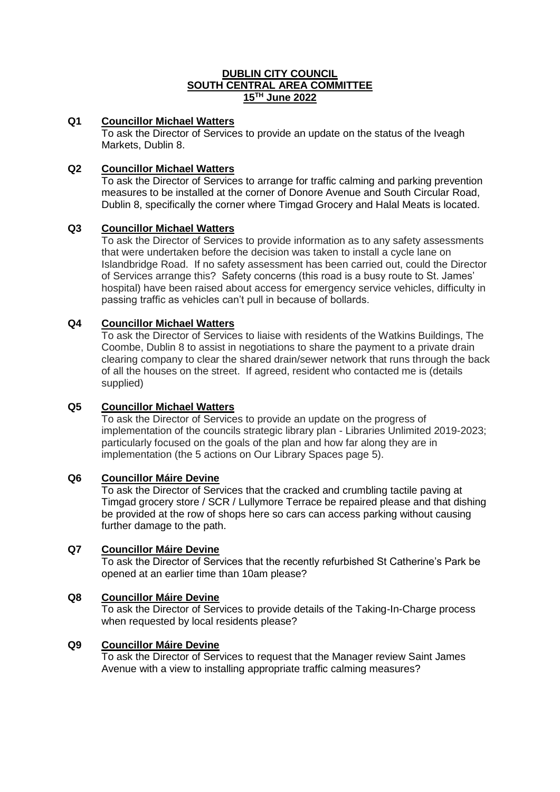# **DUBLIN CITY COUNCIL SOUTH CENTRAL AREA COMMITTEE 15TH June 2022**

# **Q1 Councillor Michael Watters**

To ask the Director of Services to provide an update on the status of the Iveagh Markets, Dublin 8.

# **Q2 Councillor Michael Watters**

To ask the Director of Services to arrange for traffic calming and parking prevention measures to be installed at the corner of Donore Avenue and South Circular Road, Dublin 8, specifically the corner where Timgad Grocery and Halal Meats is located.

### **Q3 Councillor Michael Watters**

To ask the Director of Services to provide information as to any safety assessments that were undertaken before the decision was taken to install a cycle lane on Islandbridge Road. If no safety assessment has been carried out, could the Director of Services arrange this? Safety concerns (this road is a busy route to St. James' hospital) have been raised about access for emergency service vehicles, difficulty in passing traffic as vehicles can't pull in because of bollards.

### **Q4 Councillor Michael Watters**

To ask the Director of Services to liaise with residents of the Watkins Buildings, The Coombe, Dublin 8 to assist in negotiations to share the payment to a private drain clearing company to clear the shared drain/sewer network that runs through the back of all the houses on the street. If agreed, resident who contacted me is (details supplied)

### **Q5 Councillor Michael Watters**

To ask the Director of Services to provide an update on the progress of implementation of the councils strategic library plan - Libraries Unlimited 2019-2023; particularly focused on the goals of the plan and how far along they are in implementation (the 5 actions on Our Library Spaces page 5).

### **Q6 Councillor Máire Devine**

To ask the Director of Services that the cracked and crumbling tactile paving at Timgad grocery store / SCR / Lullymore Terrace be repaired please and that dishing be provided at the row of shops here so cars can access parking without causing further damage to the path.

### **Q7 Councillor Máire Devine**

To ask the Director of Services that the recently refurbished St Catherine's Park be opened at an earlier time than 10am please?

# **Q8 Councillor Máire Devine**

To ask the Director of Services to provide details of the Taking-In-Charge process when requested by local residents please?

# **Q9 Councillor Máire Devine**

To ask the Director of Services to request that the Manager review Saint James Avenue with a view to installing appropriate traffic calming measures?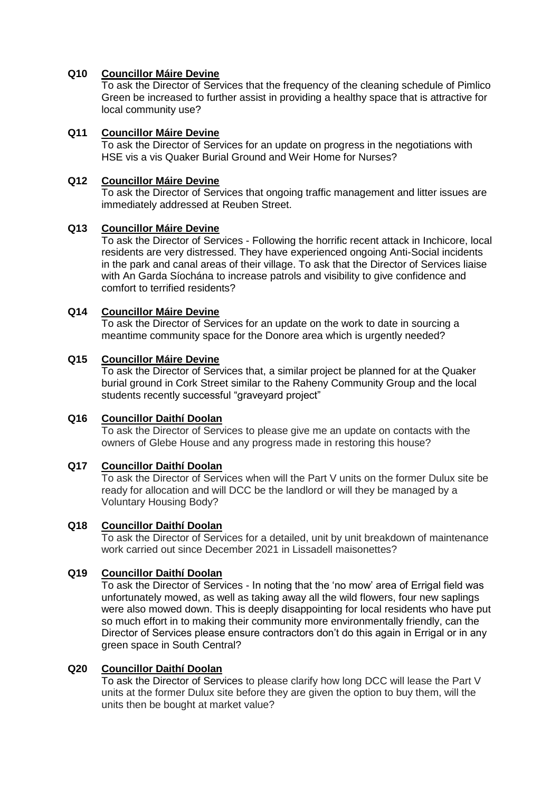#### **Q10 Councillor Máire Devine**

To ask the Director of Services that the frequency of the cleaning schedule of Pimlico Green be increased to further assist in providing a healthy space that is attractive for local community use?

#### **Q11 Councillor Máire Devine**

To ask the Director of Services for an update on progress in the negotiations with HSE vis a vis Quaker Burial Ground and Weir Home for Nurses?

#### **Q12 Councillor Máire Devine**

To ask the Director of Services that ongoing traffic management and litter issues are immediately addressed at Reuben Street.

#### **Q13 Councillor Máire Devine**

To ask the Director of Services - Following the horrific recent attack in Inchicore, local residents are very distressed. They have experienced ongoing Anti-Social incidents in the park and canal areas of their village. To ask that the Director of Services liaise with An Garda Síochána to increase patrols and visibility to give confidence and comfort to terrified residents?

## **Q14 Councillor Máire Devine**

To ask the Director of Services for an update on the work to date in sourcing a meantime community space for the Donore area which is urgently needed?

#### **Q15 Councillor Máire Devine**

To ask the Director of Services that, a similar project be planned for at the Quaker burial ground in Cork Street similar to the Raheny Community Group and the local students recently successful "graveyard project"

### **Q16 Councillor Daithí Doolan**

To ask the Director of Services to please give me an update on contacts with the owners of Glebe House and any progress made in restoring this house?

### **Q17 Councillor Daithí Doolan**

To ask the Director of Services when will the Part V units on the former Dulux site be ready for allocation and will DCC be the landlord or will they be managed by a Voluntary Housing Body?

### **Q18 Councillor Daithí Doolan**

To ask the Director of Services for a detailed, unit by unit breakdown of maintenance work carried out since December 2021 in Lissadell maisonettes?

#### **Q19 Councillor Daithí Doolan**

To ask the Director of Services - In noting that the 'no mow' area of Errigal field was unfortunately mowed, as well as taking away all the wild flowers, four new saplings were also mowed down. This is deeply disappointing for local residents who have put so much effort in to making their community more environmentally friendly, can the Director of Services please ensure contractors don't do this again in Errigal or in any green space in South Central?

#### **Q20 Councillor Daithí Doolan**

To ask the Director of Services to please clarify how long DCC will lease the Part V units at the former Dulux site before they are given the option to buy them, will the units then be bought at market value?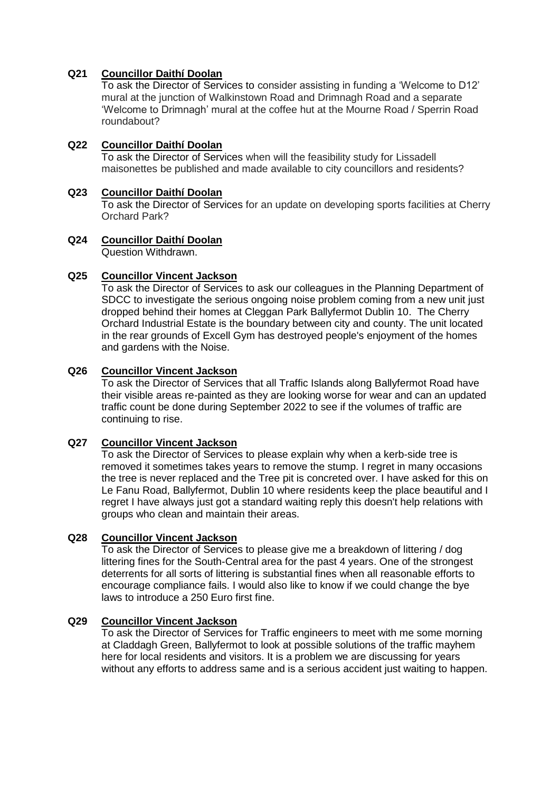## **Q21 Councillor Daithí Doolan**

To ask the Director of Services to consider assisting in funding a 'Welcome to D12' mural at the junction of Walkinstown Road and Drimnagh Road and a separate 'Welcome to Drimnagh' mural at the coffee hut at the Mourne Road / Sperrin Road roundabout?

# **Q22 Councillor Daithí Doolan**

To ask the Director of Services when will the feasibility study for Lissadell maisonettes be published and made available to city councillors and residents?

# **Q23 Councillor Daithí Doolan**

To ask the Director of Services for an update on developing sports facilities at Cherry Orchard Park?

#### **Q24 Councillor Daithí Doolan** Question Withdrawn.

#### **Q25 Councillor Vincent Jackson**

To ask the Director of Services to ask our colleagues in the Planning Department of SDCC to investigate the serious ongoing noise problem coming from a new unit just dropped behind their homes at Cleggan Park Ballyfermot Dublin 10. The Cherry Orchard Industrial Estate is the boundary between city and county. The unit located in the rear grounds of Excell Gym has destroyed people's enjoyment of the homes and gardens with the Noise.

#### **Q26 Councillor Vincent Jackson**

To ask the Director of Services that all Traffic Islands along Ballyfermot Road have their visible areas re-painted as they are looking worse for wear and can an updated traffic count be done during September 2022 to see if the volumes of traffic are continuing to rise.

### **Q27 Councillor Vincent Jackson**

To ask the Director of Services to please explain why when a kerb-side tree is removed it sometimes takes years to remove the stump. I regret in many occasions the tree is never replaced and the Tree pit is concreted over. I have asked for this on Le Fanu Road, Ballyfermot, Dublin 10 where residents keep the place beautiful and I regret I have always just got a standard waiting reply this doesn't help relations with groups who clean and maintain their areas.

#### **Q28 Councillor Vincent Jackson**

To ask the Director of Services to please give me a breakdown of littering / dog littering fines for the South-Central area for the past 4 years. One of the strongest deterrents for all sorts of littering is substantial fines when all reasonable efforts to encourage compliance fails. I would also like to know if we could change the bye laws to introduce a 250 Euro first fine.

#### **Q29 Councillor Vincent Jackson**

To ask the Director of Services for Traffic engineers to meet with me some morning at Claddagh Green, Ballyfermot to look at possible solutions of the traffic mayhem here for local residents and visitors. It is a problem we are discussing for years without any efforts to address same and is a serious accident just waiting to happen.